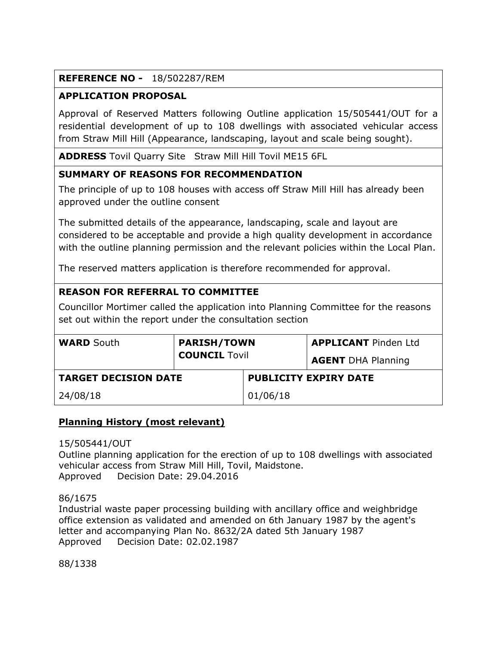## **REFERENCE NO -** 18/502287/REM

## **APPLICATION PROPOSAL**

Approval of Reserved Matters following Outline application 15/505441/OUT for a residential development of up to 108 dwellings with associated vehicular access from Straw Mill Hill (Appearance, landscaping, layout and scale being sought).

**ADDRESS** Tovil Quarry Site Straw Mill Hill Tovil ME15 6FL

### **SUMMARY OF REASONS FOR RECOMMENDATION**

The principle of up to 108 houses with access off Straw Mill Hill has already been approved under the outline consent

The submitted details of the appearance, landscaping, scale and layout are considered to be acceptable and provide a high quality development in accordance with the outline planning permission and the relevant policies within the Local Plan.

The reserved matters application is therefore recommended for approval.

## **REASON FOR REFERRAL TO COMMITTEE**

Councillor Mortimer called the application into Planning Committee for the reasons set out within the report under the consultation section

| <b>WARD South</b>           | <b>PARISH/TOWN</b><br><b>COUNCIL Tovil</b> |                              | <b>APPLICANT</b> Pinden Ltd<br><b>AGENT DHA Planning</b> |
|-----------------------------|--------------------------------------------|------------------------------|----------------------------------------------------------|
| <b>TARGET DECISION DATE</b> |                                            | <b>PUBLICITY EXPIRY DATE</b> |                                                          |
| 24/08/18                    |                                            | 01/06/18                     |                                                          |

### **Planning History (most relevant)**

15/505441/OUT

Outline planning application for the erection of up to 108 dwellings with associated vehicular access from Straw Mill Hill, Tovil, Maidstone. Approved Decision Date: 29.04.2016

86/1675

Industrial waste paper processing building with ancillary office and weighbridge office extension as validated and amended on 6th January 1987 by the agent's letter and accompanying Plan No. 8632/2A dated 5th January 1987 Approved Decision Date: 02.02.1987

88/1338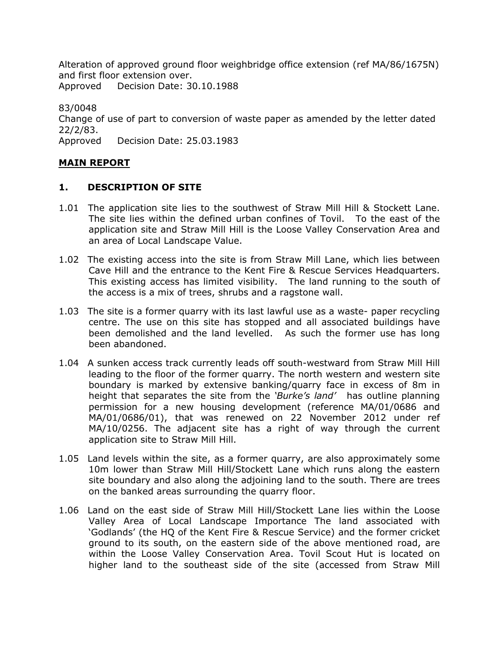Alteration of approved ground floor weighbridge office extension (ref MA/86/1675N) and first floor extension over.

Approved Decision Date: 30.10.1988

83/0048 Change of use of part to conversion of waste paper as amended by the letter dated 22/2/83. Approved Decision Date: 25.03.1983

### **MAIN REPORT**

### **1. DESCRIPTION OF SITE**

- 1.01 The application site lies to the southwest of Straw Mill Hill & Stockett Lane. The site lies within the defined urban confines of Tovil. To the east of the application site and Straw Mill Hill is the Loose Valley Conservation Area and an area of Local Landscape Value.
- 1.02 The existing access into the site is from Straw Mill Lane, which lies between Cave Hill and the entrance to the Kent Fire & Rescue Services Headquarters. This existing access has limited visibility. The land running to the south of the access is a mix of trees, shrubs and a ragstone wall.
- 1.03 The site is a former quarry with its last lawful use as a waste- paper recycling centre. The use on this site has stopped and all associated buildings have been demolished and the land levelled. As such the former use has long been abandoned.
- 1.04 A sunken access track currently leads off south-westward from Straw Mill Hill leading to the floor of the former quarry. The north western and western site boundary is marked by extensive banking/quarry face in excess of 8m in height that separates the site from the *'Burke's land'* has outline planning permission for a new housing development (reference MA/01/0686 and MA/01/0686/01), that was renewed on 22 November 2012 under ref MA/10/0256. The adjacent site has a right of way through the current application site to Straw Mill Hill.
- 1.05 Land levels within the site, as a former quarry, are also approximately some 10m lower than Straw Mill Hill/Stockett Lane which runs along the eastern site boundary and also along the adjoining land to the south. There are trees on the banked areas surrounding the quarry floor.
- 1.06 Land on the east side of Straw Mill Hill/Stockett Lane lies within the Loose Valley Area of Local Landscape Importance The land associated with 'Godlands' (the HQ of the Kent Fire & Rescue Service) and the former cricket ground to its south, on the eastern side of the above mentioned road, are within the Loose Valley Conservation Area. Tovil Scout Hut is located on higher land to the southeast side of the site (accessed from Straw Mill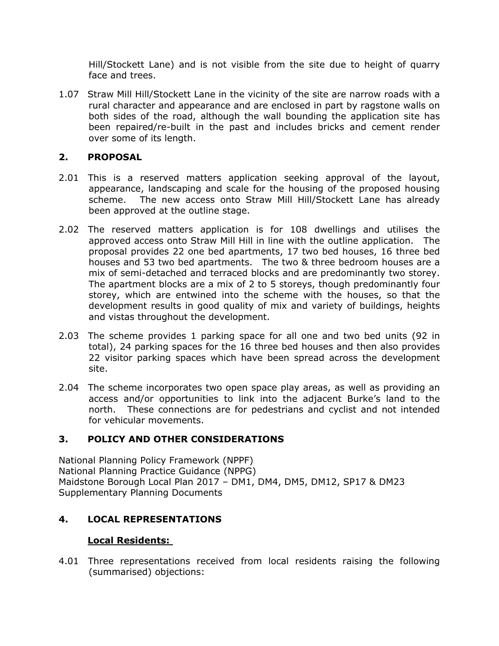Hill/Stockett Lane) and is not visible from the site due to height of quarry face and trees.

1.07 Straw Mill Hill/Stockett Lane in the vicinity of the site are narrow roads with a rural character and appearance and are enclosed in part by ragstone walls on both sides of the road, although the wall bounding the application site has been repaired/re-built in the past and includes bricks and cement render over some of its length.

## **2. PROPOSAL**

- 2.01 This is a reserved matters application seeking approval of the layout, appearance, landscaping and scale for the housing of the proposed housing scheme. The new access onto Straw Mill Hill/Stockett Lane has already been approved at the outline stage.
- 2.02 The reserved matters application is for 108 dwellings and utilises the approved access onto Straw Mill Hill in line with the outline application. The proposal provides 22 one bed apartments, 17 two bed houses, 16 three bed houses and 53 two bed apartments. The two & three bedroom houses are a mix of semi-detached and terraced blocks and are predominantly two storey. The apartment blocks are a mix of 2 to 5 storeys, though predominantly four storey, which are entwined into the scheme with the houses, so that the development results in good quality of mix and variety of buildings, heights and vistas throughout the development.
- 2.03 The scheme provides 1 parking space for all one and two bed units (92 in total), 24 parking spaces for the 16 three bed houses and then also provides 22 visitor parking spaces which have been spread across the development site.
- 2.04 The scheme incorporates two open space play areas, as well as providing an access and/or opportunities to link into the adjacent Burke's land to the north. These connections are for pedestrians and cyclist and not intended for vehicular movements.

# **3. POLICY AND OTHER CONSIDERATIONS**

National Planning Policy Framework (NPPF) National Planning Practice Guidance (NPPG) Maidstone Borough Local Plan 2017 – DM1, DM4, DM5, DM12, SP17 & DM23 Supplementary Planning Documents

### **4. LOCAL REPRESENTATIONS**

### **Local Residents:**

4.01 Three representations received from local residents raising the following (summarised) objections: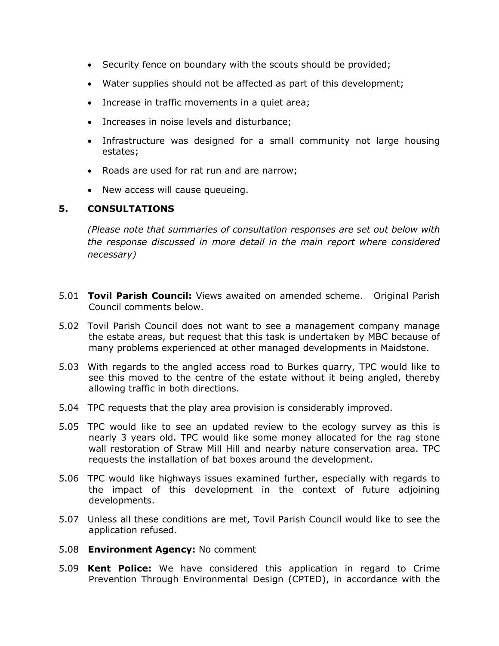- Security fence on boundary with the scouts should be provided;
- Water supplies should not be affected as part of this development;
- Increase in traffic movements in a quiet area;
- Increases in noise levels and disturbance;
- Infrastructure was designed for a small community not large housing estates;
- Roads are used for rat run and are narrow;
- New access will cause queueing.

## **5. CONSULTATIONS**

*(Please note that summaries of consultation responses are set out below with the response discussed in more detail in the main report where considered necessary)*

- 5.01 **Tovil Parish Council:** Views awaited on amended scheme. Original Parish Council comments below.
- 5.02 Tovil Parish Council does not want to see a management company manage the estate areas, but request that this task is undertaken by MBC because of many problems experienced at other managed developments in Maidstone.
- 5.03 With regards to the angled access road to Burkes quarry, TPC would like to see this moved to the centre of the estate without it being angled, thereby allowing traffic in both directions.
- 5.04 TPC requests that the play area provision is considerably improved.
- 5.05 TPC would like to see an updated review to the ecology survey as this is nearly 3 years old. TPC would like some money allocated for the rag stone wall restoration of Straw Mill Hill and nearby nature conservation area. TPC requests the installation of bat boxes around the development.
- 5.06 TPC would like highways issues examined further, especially with regards to the impact of this development in the context of future adjoining developments.
- 5.07 Unless all these conditions are met, Tovil Parish Council would like to see the application refused.
- 5.08 **Environment Agency:** No comment
- 5.09 **Kent Police:** We have considered this application in regard to Crime Prevention Through Environmental Design (CPTED), in accordance with the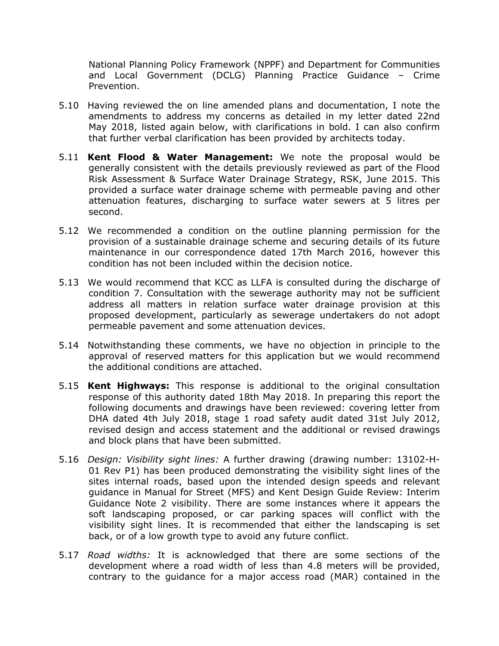National Planning Policy Framework (NPPF) and Department for Communities and Local Government (DCLG) Planning Practice Guidance – Crime Prevention.

- 5.10 Having reviewed the on line amended plans and documentation, I note the amendments to address my concerns as detailed in my letter dated 22nd May 2018, listed again below, with clarifications in bold. I can also confirm that further verbal clarification has been provided by architects today.
- 5.11 **Kent Flood & Water Management:** We note the proposal would be generally consistent with the details previously reviewed as part of the Flood Risk Assessment & Surface Water Drainage Strategy, RSK, June 2015. This provided a surface water drainage scheme with permeable paving and other attenuation features, discharging to surface water sewers at 5 litres per second.
- 5.12 We recommended a condition on the outline planning permission for the provision of a sustainable drainage scheme and securing details of its future maintenance in our correspondence dated 17th March 2016, however this condition has not been included within the decision notice.
- 5.13 We would recommend that KCC as LLFA is consulted during the discharge of condition 7. Consultation with the sewerage authority may not be sufficient address all matters in relation surface water drainage provision at this proposed development, particularly as sewerage undertakers do not adopt permeable pavement and some attenuation devices.
- 5.14 Notwithstanding these comments, we have no objection in principle to the approval of reserved matters for this application but we would recommend the additional conditions are attached.
- 5.15 **Kent Highways:** This response is additional to the original consultation response of this authority dated 18th May 2018. In preparing this report the following documents and drawings have been reviewed: covering letter from DHA dated 4th July 2018, stage 1 road safety audit dated 31st July 2012, revised design and access statement and the additional or revised drawings and block plans that have been submitted.
- 5.16 *Design: Visibility sight lines:* A further drawing (drawing number: 13102-H-01 Rev P1) has been produced demonstrating the visibility sight lines of the sites internal roads, based upon the intended design speeds and relevant guidance in Manual for Street (MFS) and Kent Design Guide Review: Interim Guidance Note 2 visibility. There are some instances where it appears the soft landscaping proposed, or car parking spaces will conflict with the visibility sight lines. It is recommended that either the landscaping is set back, or of a low growth type to avoid any future conflict.
- 5.17 *Road widths:* It is acknowledged that there are some sections of the development where a road width of less than 4.8 meters will be provided, contrary to the guidance for a major access road (MAR) contained in the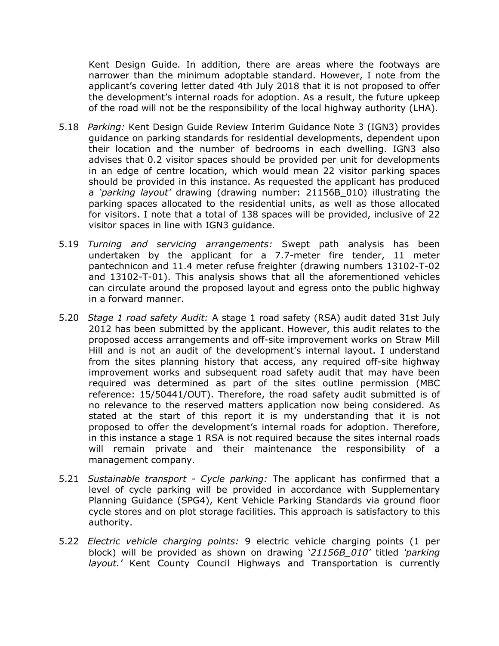Kent Design Guide. In addition, there are areas where the footways are narrower than the minimum adoptable standard. However, I note from the applicant's covering letter dated 4th July 2018 that it is not proposed to offer the development's internal roads for adoption. As a result, the future upkeep of the road will not be the responsibility of the local highway authority (LHA).

- 5.18 *Parking:* Kent Design Guide Review Interim Guidance Note 3 (IGN3) provides guidance on parking standards for residential developments, dependent upon their location and the number of bedrooms in each dwelling. IGN3 also advises that 0.2 visitor spaces should be provided per unit for developments in an edge of centre location, which would mean 22 visitor parking spaces should be provided in this instance. As requested the applicant has produced a *'parking layout'* drawing (drawing number: 21156B\_010) illustrating the parking spaces allocated to the residential units, as well as those allocated for visitors. I note that a total of 138 spaces will be provided, inclusive of 22 visitor spaces in line with IGN3 guidance.
- 5.19 *Turning and servicing arrangements:* Swept path analysis has been undertaken by the applicant for a 7.7-meter fire tender, 11 meter pantechnicon and 11.4 meter refuse freighter (drawing numbers 13102-T-02 and 13102-T-01). This analysis shows that all the aforementioned vehicles can circulate around the proposed layout and egress onto the public highway in a forward manner.
- 5.20 *Stage 1 road safety Audit:* A stage 1 road safety (RSA) audit dated 31st July 2012 has been submitted by the applicant. However, this audit relates to the proposed access arrangements and off-site improvement works on Straw Mill Hill and is not an audit of the development's internal layout. I understand from the sites planning history that access, any required off-site highway improvement works and subsequent road safety audit that may have been required was determined as part of the sites outline permission (MBC reference: 15/50441/OUT). Therefore, the road safety audit submitted is of no relevance to the reserved matters application now being considered. As stated at the start of this report it is my understanding that it is not proposed to offer the development's internal roads for adoption. Therefore, in this instance a stage 1 RSA is not required because the sites internal roads will remain private and their maintenance the responsibility of a management company.
- 5.21 *Sustainable transport - Cycle parking:* The applicant has confirmed that a level of cycle parking will be provided in accordance with Supplementary Planning Guidance (SPG4), Kent Vehicle Parking Standards via ground floor cycle stores and on plot storage facilities. This approach is satisfactory to this authority.
- 5.22 *Electric vehicle charging points:* 9 electric vehicle charging points (1 per block) will be provided as shown on drawing '*21156B\_010'* titled *'parking layout.'* Kent County Council Highways and Transportation is currently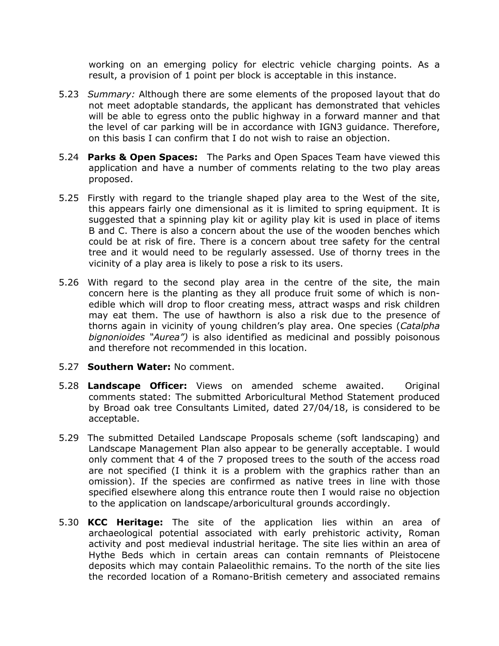working on an emerging policy for electric vehicle charging points. As a result, a provision of 1 point per block is acceptable in this instance.

- 5.23 *Summary:* Although there are some elements of the proposed layout that do not meet adoptable standards, the applicant has demonstrated that vehicles will be able to egress onto the public highway in a forward manner and that the level of car parking will be in accordance with IGN3 guidance. Therefore, on this basis I can confirm that I do not wish to raise an objection.
- 5.24 **Parks & Open Spaces:** The Parks and Open Spaces Team have viewed this application and have a number of comments relating to the two play areas proposed.
- 5.25 Firstly with regard to the triangle shaped play area to the West of the site, this appears fairly one dimensional as it is limited to spring equipment. It is suggested that a spinning play kit or agility play kit is used in place of items B and C. There is also a concern about the use of the wooden benches which could be at risk of fire. There is a concern about tree safety for the central tree and it would need to be regularly assessed. Use of thorny trees in the vicinity of a play area is likely to pose a risk to its users.
- 5.26 With regard to the second play area in the centre of the site, the main concern here is the planting as they all produce fruit some of which is nonedible which will drop to floor creating mess, attract wasps and risk children may eat them. The use of hawthorn is also a risk due to the presence of thorns again in vicinity of young children's play area. One species (*Catalpha bignonioides "Aurea")* is also identified as medicinal and possibly poisonous and therefore not recommended in this location.
- 5.27 **Southern Water:** No comment.
- 5.28 **Landscape Officer:** Views on amended scheme awaited. Original comments stated: The submitted Arboricultural Method Statement produced by Broad oak tree Consultants Limited, dated 27/04/18, is considered to be acceptable.
- 5.29 The submitted Detailed Landscape Proposals scheme (soft landscaping) and Landscape Management Plan also appear to be generally acceptable. I would only comment that 4 of the 7 proposed trees to the south of the access road are not specified (I think it is a problem with the graphics rather than an omission). If the species are confirmed as native trees in line with those specified elsewhere along this entrance route then I would raise no objection to the application on landscape/arboricultural grounds accordingly.
- 5.30 **KCC Heritage:** The site of the application lies within an area of archaeological potential associated with early prehistoric activity, Roman activity and post medieval industrial heritage. The site lies within an area of Hythe Beds which in certain areas can contain remnants of Pleistocene deposits which may contain Palaeolithic remains. To the north of the site lies the recorded location of a Romano-British cemetery and associated remains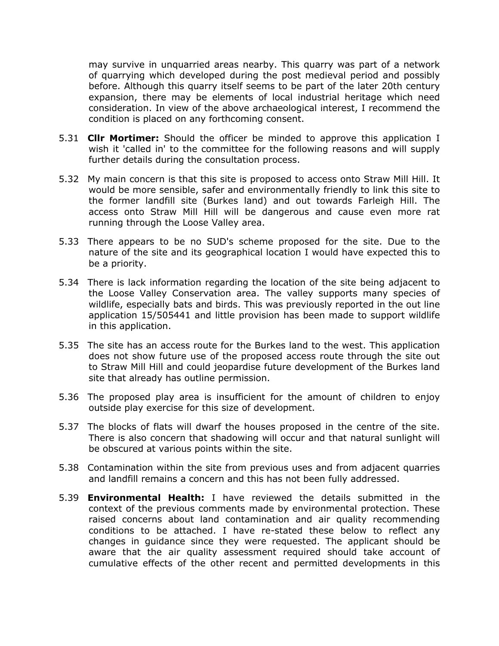may survive in unquarried areas nearby. This quarry was part of a network of quarrying which developed during the post medieval period and possibly before. Although this quarry itself seems to be part of the later 20th century expansion, there may be elements of local industrial heritage which need consideration. In view of the above archaeological interest, I recommend the condition is placed on any forthcoming consent.

- 5.31 **Cllr Mortimer:** Should the officer be minded to approve this application I wish it 'called in' to the committee for the following reasons and will supply further details during the consultation process.
- 5.32 My main concern is that this site is proposed to access onto Straw Mill Hill. It would be more sensible, safer and environmentally friendly to link this site to the former landfill site (Burkes land) and out towards Farleigh Hill. The access onto Straw Mill Hill will be dangerous and cause even more rat running through the Loose Valley area.
- 5.33 There appears to be no SUD's scheme proposed for the site. Due to the nature of the site and its geographical location I would have expected this to be a priority.
- 5.34 There is lack information regarding the location of the site being adjacent to the Loose Valley Conservation area. The valley supports many species of wildlife, especially bats and birds. This was previously reported in the out line application 15/505441 and little provision has been made to support wildlife in this application.
- 5.35 The site has an access route for the Burkes land to the west. This application does not show future use of the proposed access route through the site out to Straw Mill Hill and could jeopardise future development of the Burkes land site that already has outline permission.
- 5.36 The proposed play area is insufficient for the amount of children to enjoy outside play exercise for this size of development.
- 5.37 The blocks of flats will dwarf the houses proposed in the centre of the site. There is also concern that shadowing will occur and that natural sunlight will be obscured at various points within the site.
- 5.38 Contamination within the site from previous uses and from adjacent quarries and landfill remains a concern and this has not been fully addressed.
- 5.39 **Environmental Health:** I have reviewed the details submitted in the context of the previous comments made by environmental protection. These raised concerns about land contamination and air quality recommending conditions to be attached. I have re-stated these below to reflect any changes in guidance since they were requested. The applicant should be aware that the air quality assessment required should take account of cumulative effects of the other recent and permitted developments in this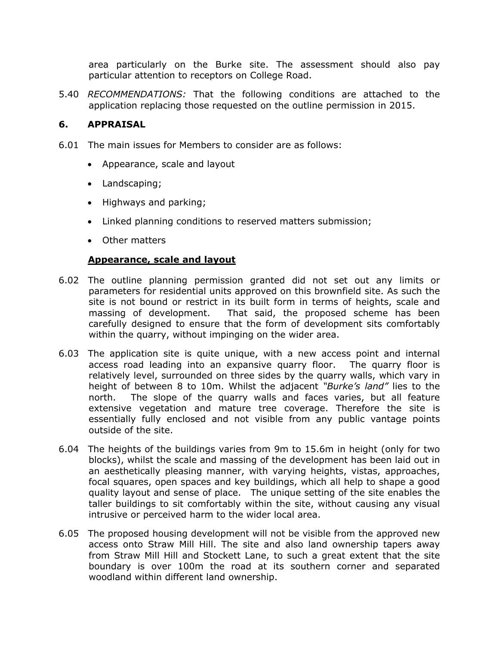area particularly on the Burke site. The assessment should also pay particular attention to receptors on College Road.

5.40 *RECOMMENDATIONS:* That the following conditions are attached to the application replacing those requested on the outline permission in 2015.

#### **6. APPRAISAL**

- 6.01 The main issues for Members to consider are as follows:
	- Appearance, scale and layout
	- Landscaping;
	- Highways and parking;
	- Linked planning conditions to reserved matters submission;
	- Other matters

#### **Appearance, scale and layout**

- 6.02 The outline planning permission granted did not set out any limits or parameters for residential units approved on this brownfield site. As such the site is not bound or restrict in its built form in terms of heights, scale and massing of development. That said, the proposed scheme has been carefully designed to ensure that the form of development sits comfortably within the quarry, without impinging on the wider area.
- 6.03 The application site is quite unique, with a new access point and internal access road leading into an expansive quarry floor. The quarry floor is relatively level, surrounded on three sides by the quarry walls, which vary in height of between 8 to 10m. Whilst the adjacent *"Burke's land"* lies to the north. The slope of the quarry walls and faces varies, but all feature extensive vegetation and mature tree coverage. Therefore the site is essentially fully enclosed and not visible from any public vantage points outside of the site.
- 6.04 The heights of the buildings varies from 9m to 15.6m in height (only for two blocks), whilst the scale and massing of the development has been laid out in an aesthetically pleasing manner, with varying heights, vistas, approaches, focal squares, open spaces and key buildings, which all help to shape a good quality layout and sense of place. The unique setting of the site enables the taller buildings to sit comfortably within the site, without causing any visual intrusive or perceived harm to the wider local area.
- 6.05 The proposed housing development will not be visible from the approved new access onto Straw Mill Hill. The site and also land ownership tapers away from Straw Mill Hill and Stockett Lane, to such a great extent that the site boundary is over 100m the road at its southern corner and separated woodland within different land ownership.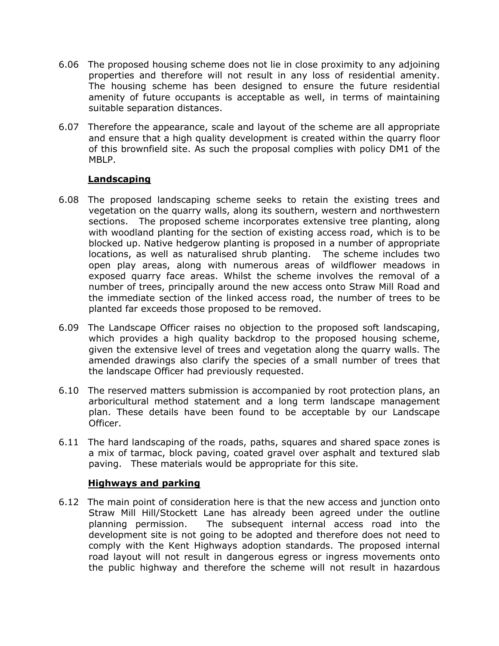- 6.06 The proposed housing scheme does not lie in close proximity to any adjoining properties and therefore will not result in any loss of residential amenity. The housing scheme has been designed to ensure the future residential amenity of future occupants is acceptable as well, in terms of maintaining suitable separation distances.
- 6.07 Therefore the appearance, scale and layout of the scheme are all appropriate and ensure that a high quality development is created within the quarry floor of this brownfield site. As such the proposal complies with policy DM1 of the MBLP.

### **Landscaping**

- 6.08 The proposed landscaping scheme seeks to retain the existing trees and vegetation on the quarry walls, along its southern, western and northwestern sections. The proposed scheme incorporates extensive tree planting, along with woodland planting for the section of existing access road, which is to be blocked up. Native hedgerow planting is proposed in a number of appropriate locations, as well as naturalised shrub planting. The scheme includes two open play areas, along with numerous areas of wildflower meadows in exposed quarry face areas. Whilst the scheme involves the removal of a number of trees, principally around the new access onto Straw Mill Road and the immediate section of the linked access road, the number of trees to be planted far exceeds those proposed to be removed.
- 6.09 The Landscape Officer raises no objection to the proposed soft landscaping, which provides a high quality backdrop to the proposed housing scheme, given the extensive level of trees and vegetation along the quarry walls. The amended drawings also clarify the species of a small number of trees that the landscape Officer had previously requested.
- 6.10 The reserved matters submission is accompanied by root protection plans, an arboricultural method statement and a long term landscape management plan. These details have been found to be acceptable by our Landscape Officer.
- 6.11 The hard landscaping of the roads, paths, squares and shared space zones is a mix of tarmac, block paving, coated gravel over asphalt and textured slab paving. These materials would be appropriate for this site.

#### **Highways and parking**

6.12 The main point of consideration here is that the new access and junction onto Straw Mill Hill/Stockett Lane has already been agreed under the outline planning permission. The subsequent internal access road into the development site is not going to be adopted and therefore does not need to comply with the Kent Highways adoption standards. The proposed internal road layout will not result in dangerous egress or ingress movements onto the public highway and therefore the scheme will not result in hazardous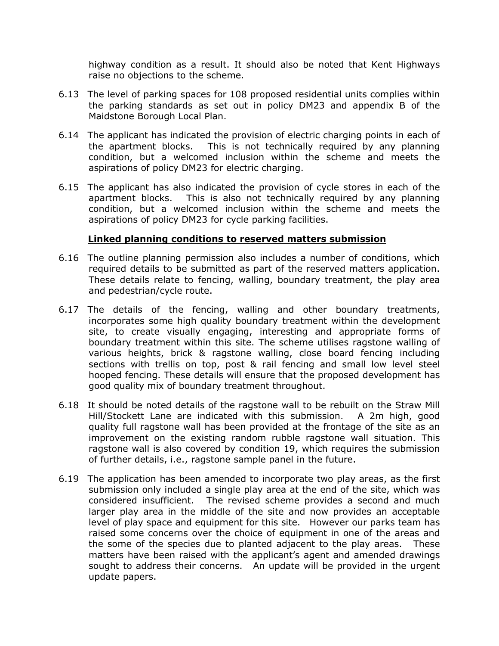highway condition as a result. It should also be noted that Kent Highways raise no objections to the scheme.

- 6.13 The level of parking spaces for 108 proposed residential units complies within the parking standards as set out in policy DM23 and appendix B of the Maidstone Borough Local Plan.
- 6.14 The applicant has indicated the provision of electric charging points in each of the apartment blocks. This is not technically required by any planning condition, but a welcomed inclusion within the scheme and meets the aspirations of policy DM23 for electric charging.
- 6.15 The applicant has also indicated the provision of cycle stores in each of the apartment blocks. This is also not technically required by any planning condition, but a welcomed inclusion within the scheme and meets the aspirations of policy DM23 for cycle parking facilities.

#### **Linked planning conditions to reserved matters submission**

- 6.16 The outline planning permission also includes a number of conditions, which required details to be submitted as part of the reserved matters application. These details relate to fencing, walling, boundary treatment, the play area and pedestrian/cycle route.
- 6.17 The details of the fencing, walling and other boundary treatments, incorporates some high quality boundary treatment within the development site, to create visually engaging, interesting and appropriate forms of boundary treatment within this site. The scheme utilises ragstone walling of various heights, brick & ragstone walling, close board fencing including sections with trellis on top, post & rail fencing and small low level steel hooped fencing. These details will ensure that the proposed development has good quality mix of boundary treatment throughout.
- 6.18 It should be noted details of the ragstone wall to be rebuilt on the Straw Mill Hill/Stockett Lane are indicated with this submission. A 2m high, good quality full ragstone wall has been provided at the frontage of the site as an improvement on the existing random rubble ragstone wall situation. This ragstone wall is also covered by condition 19, which requires the submission of further details, i.e., ragstone sample panel in the future.
- 6.19 The application has been amended to incorporate two play areas, as the first submission only included a single play area at the end of the site, which was considered insufficient. The revised scheme provides a second and much larger play area in the middle of the site and now provides an acceptable level of play space and equipment for this site. However our parks team has raised some concerns over the choice of equipment in one of the areas and the some of the species due to planted adjacent to the play areas. These matters have been raised with the applicant's agent and amended drawings sought to address their concerns. An update will be provided in the urgent update papers.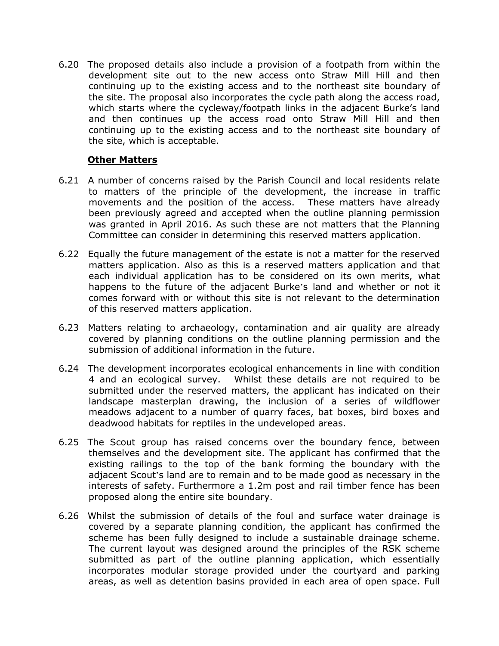6.20 The proposed details also include a provision of a footpath from within the development site out to the new access onto Straw Mill Hill and then continuing up to the existing access and to the northeast site boundary of the site. The proposal also incorporates the cycle path along the access road, which starts where the cycleway/footpath links in the adjacent Burke's land and then continues up the access road onto Straw Mill Hill and then continuing up to the existing access and to the northeast site boundary of the site, which is acceptable.

#### **Other Matters**

- 6.21 A number of concerns raised by the Parish Council and local residents relate to matters of the principle of the development, the increase in traffic movements and the position of the access. These matters have already been previously agreed and accepted when the outline planning permission was granted in April 2016. As such these are not matters that the Planning Committee can consider in determining this reserved matters application.
- 6.22 Equally the future management of the estate is not a matter for the reserved matters application. Also as this is a reserved matters application and that each individual application has to be considered on its own merits, what happens to the future of the adjacent Burke's land and whether or not it comes forward with or without this site is not relevant to the determination of this reserved matters application.
- 6.23 Matters relating to archaeology, contamination and air quality are already covered by planning conditions on the outline planning permission and the submission of additional information in the future.
- 6.24 The development incorporates ecological enhancements in line with condition 4 and an ecological survey. Whilst these details are not required to be submitted under the reserved matters, the applicant has indicated on their landscape masterplan drawing, the inclusion of a series of wildflower meadows adjacent to a number of quarry faces, bat boxes, bird boxes and deadwood habitats for reptiles in the undeveloped areas.
- 6.25 The Scout group has raised concerns over the boundary fence, between themselves and the development site. The applicant has confirmed that the existing railings to the top of the bank forming the boundary with the adjacent Scout's land are to remain and to be made good as necessary in the interests of safety. Furthermore a 1.2m post and rail timber fence has been proposed along the entire site boundary.
- 6.26 Whilst the submission of details of the foul and surface water drainage is covered by a separate planning condition, the applicant has confirmed the scheme has been fully designed to include a sustainable drainage scheme. The current layout was designed around the principles of the RSK scheme submitted as part of the outline planning application, which essentially incorporates modular storage provided under the courtyard and parking areas, as well as detention basins provided in each area of open space. Full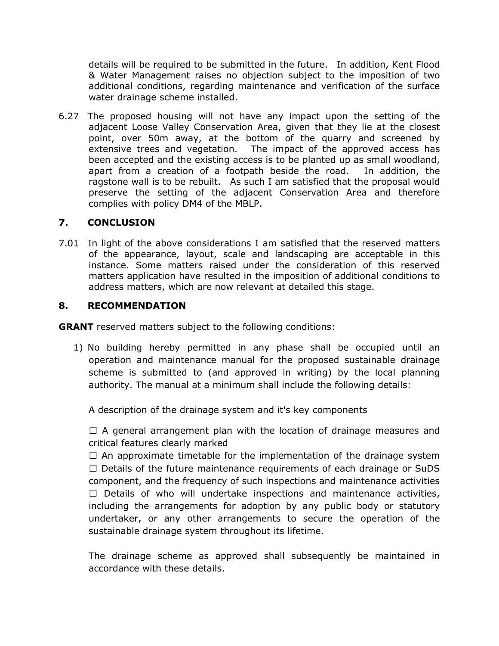details will be required to be submitted in the future. In addition, Kent Flood & Water Management raises no objection subject to the imposition of two additional conditions, regarding maintenance and verification of the surface water drainage scheme installed.

6.27 The proposed housing will not have any impact upon the setting of the adjacent Loose Valley Conservation Area, given that they lie at the closest point, over 50m away, at the bottom of the quarry and screened by extensive trees and vegetation. The impact of the approved access has been accepted and the existing access is to be planted up as small woodland, apart from a creation of a footpath beside the road. In addition, the ragstone wall is to be rebuilt. As such I am satisfied that the proposal would preserve the setting of the adjacent Conservation Area and therefore complies with policy DM4 of the MBLP.

### **7. CONCLUSION**

7.01 In light of the above considerations I am satisfied that the reserved matters of the appearance, layout, scale and landscaping are acceptable in this instance. Some matters raised under the consideration of this reserved matters application have resulted in the imposition of additional conditions to address matters, which are now relevant at detailed this stage.

### **8. RECOMMENDATION**

**GRANT** reserved matters subject to the following conditions:

1) No building hereby permitted in any phase shall be occupied until an operation and maintenance manual for the proposed sustainable drainage scheme is submitted to (and approved in writing) by the local planning authority. The manual at a minimum shall include the following details:

A description of the drainage system and it's key components

 $\Box$  A general arrangement plan with the location of drainage measures and critical features clearly marked

 $\Box$  An approximate timetable for the implementation of the drainage system  $\Box$  Details of the future maintenance requirements of each drainage or SuDS component, and the frequency of such inspections and maintenance activities  $\Box$  Details of who will undertake inspections and maintenance activities, including the arrangements for adoption by any public body or statutory undertaker, or any other arrangements to secure the operation of the sustainable drainage system throughout its lifetime.

The drainage scheme as approved shall subsequently be maintained in accordance with these details.